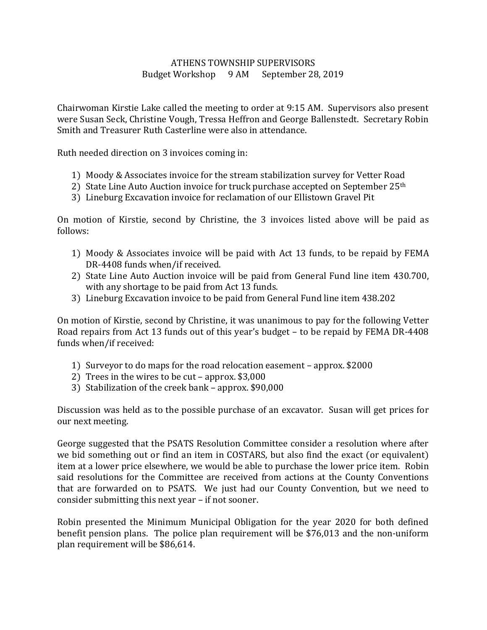## ATHENS TOWNSHIP SUPERVISORS Budget Workshop 9 AM September 28, 2019

Chairwoman Kirstie Lake called the meeting to order at 9:15 AM. Supervisors also present were Susan Seck, Christine Vough, Tressa Heffron and George Ballenstedt. Secretary Robin Smith and Treasurer Ruth Casterline were also in attendance.

Ruth needed direction on 3 invoices coming in:

- 1) Moody & Associates invoice for the stream stabilization survey for Vetter Road
- 2) State Line Auto Auction invoice for truck purchase accepted on September 25<sup>th</sup>
- 3) Lineburg Excavation invoice for reclamation of our Ellistown Gravel Pit

On motion of Kirstie, second by Christine, the 3 invoices listed above will be paid as follows:

- 1) Moody & Associates invoice will be paid with Act 13 funds, to be repaid by FEMA DR-4408 funds when/if received.
- 2) State Line Auto Auction invoice will be paid from General Fund line item 430.700, with any shortage to be paid from Act 13 funds.
- 3) Lineburg Excavation invoice to be paid from General Fund line item 438.202

On motion of Kirstie, second by Christine, it was unanimous to pay for the following Vetter Road repairs from Act 13 funds out of this year's budget – to be repaid by FEMA DR-4408 funds when/if received:

- 1) Surveyor to do maps for the road relocation easement approx. \$2000
- 2) Trees in the wires to be cut approx. \$3,000
- 3) Stabilization of the creek bank approx. \$90,000

Discussion was held as to the possible purchase of an excavator. Susan will get prices for our next meeting.

George suggested that the PSATS Resolution Committee consider a resolution where after we bid something out or find an item in COSTARS, but also find the exact (or equivalent) item at a lower price elsewhere, we would be able to purchase the lower price item. Robin said resolutions for the Committee are received from actions at the County Conventions that are forwarded on to PSATS. We just had our County Convention, but we need to consider submitting this next year – if not sooner.

Robin presented the Minimum Municipal Obligation for the year 2020 for both defined benefit pension plans. The police plan requirement will be \$76,013 and the non-uniform plan requirement will be \$86,614.